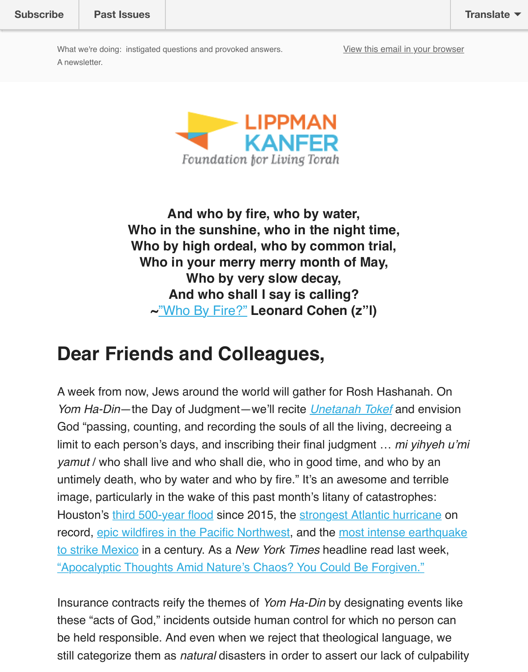

**And who by fire, who by water, Who in the sunshine, who in the night time, Who by high ordeal, who by common trial, Who in your merry merry month of May, Who by very slow decay, And who shall I say is calling? ~**"Who By Fire?" **Leonard Cohen (z"l)**

## **Dear Friends and Colleagues,**

A week from now, Jews around the world will gather for Rosh Hashanah. On *Yom Ha-Din*—the [Day of Judgment—](https://www.youtube.com/watch?v=_52Fsr9k3qY)we'll recite *Unetanah Tokef* and envision God "passing, counting, and recording the souls of all the living, decreeing a limit to each person's days, and inscribing their final judgment ... *mi yihyeh yamut* / who shall live and who shall die, who in good time, and who by an untimely death, who by water and who by fire." It's an awesome and terrible image, particularly in the wake of this past mont[h's litany of catas](http://www.myjewishlearning.com/article/unetanah-tokef/)trophes: Houston's third 500-year flood since 2015, the strongest Atlantic hurricane on record, epic wildfires in the Pacific Northwest, and the most intense earthqu to strike Mexico in a century. As a *New York Times* headline read last week, "Apocalyptic Thoughts Amid Nature's Chaos? You Could Be Forgiven."

Insurance [contracts reify the th](https://www.washingtonpost.com/news/wonk/wp/2017/08/29/houston-is-experiencing-its-third-500-year-flood-in-3-years-how-is-that-possible)emes of *Yom Ha-Din* [by designating events](https://www.nytimes.com/interactive/2017/09/09/us/hurricane-irma-records.html) I these "[acts of God," incidents outside human](https://www.nytimes.com/2017/09/06/us/wildfires-oregon-washington.html) control for which no person can [be held responsible. And even when we reject that theological language, we](https://www.nytimes.com/2017/09/08/world/americas/mexico-earthquake.html) still categorize them as *natural* [disasters in order to assert our lack of cu](https://www.nytimes.com/2017/09/08/us/hurricane-irma-earthquake-fires.html)lpab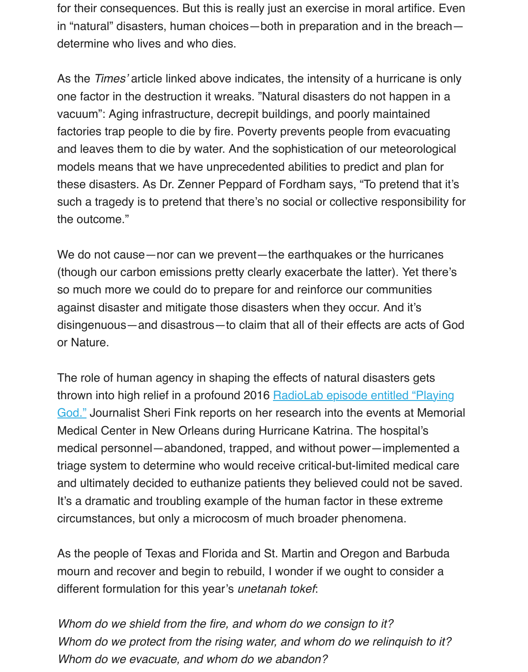one factor in the destruction it wreaks. "Natural disasters do not happen in a vacuum": Aging infrastructure, decrepit buildings, and poorly maintained factories trap people to die by fire. Poverty prevents people from evacuating and leaves them to die by water. And the sophistication of our meteorological models means that we have unprecedented abilities to predict and plan for these disasters. As Dr. Zenner Peppard of Fordham says, "To pretend that it such a tragedy is to pretend that there's no social or collective responsibility the outcome."

We do not cause—nor can we prevent—the earthquakes or the hurricanes (though our carbon emissions pretty clearly exacerbate the latter). Yet there so much more we could do to prepare for and reinforce our communities against disaster and mitigate those disasters when they occur. And it's disingenuous—and disastrous—to claim that all of their effects are acts of  $G$ or Nature.

The role of human agency in shaping the effects of natural disasters gets thrown into high relief in a profound 2016 RadioLab episode entitled "Playing God." Journalist Sheri Fink reports on her research into the events at Memor Medical Center in New Orleans during Hurricane Katrina. The hospital's medical personnel—abandoned, trapped, and without power—implemented triage system to determine who would receive critical-but-limited medical care and ultimately decided to euthanize patients they believed could not be save [It's a dramatic and troubling example of the human factor in these extreme](http://www.radiolab.org/story/playing-god/) circumstances, but only a microcosm of much broader phenomena.

As the people of Texas and Florida and St. Martin and Oregon and Barbuda mourn and recover and begin to rebuild, I wonder if we ought to consider a different formulation for this year's *unetanah tokef*:

*Whom do we shield from the fire, and whom do we consign to it? Whom do we protect from the rising water, and whom do we relinquish to it? Whom do we evacuate, and whom do we abandon?*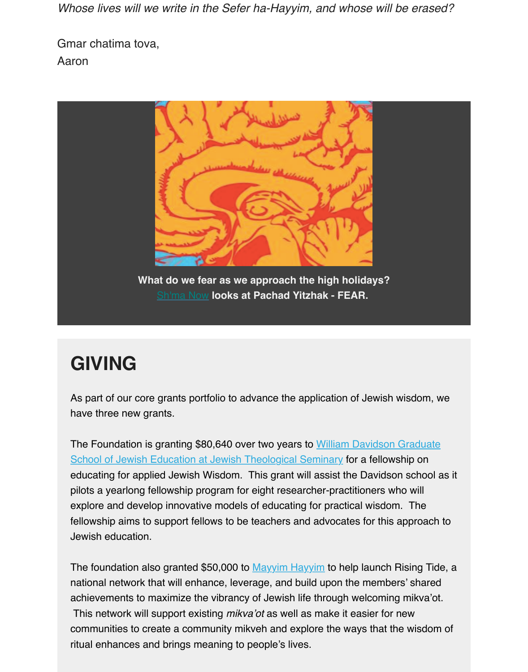

**What do we fear as we approach the high holidays?** Sh'ma Now **looks at Pachad Yitzhak - FEAR.** 

## **GIVING**

As part of our core grants portfolio to advance the application of Jewish wisdom, we have three new grants.

The Foundation is granting \$80,640 over two years to William Davidson Graduate School of Jewish Education at Jewish Theological Seminary for a fellowship on educating for applied Jewish Wisdom. This grant will assist the Davidson school as pilots a yearlong fellowship program for eight researcher-practitioners who will explore and develop innovative models of educating for practical wisdom. The fellowship aims to support fellows to be teachers and advocates for this approach to [Jewish education.](http://www.jtsa.edu/davidson-graduate-school-of-jewish-education) 

The foundation also granted \$50,000 to Mayyim Hayyim to help launch Rising Tide, national network that will enhance, leverage, and build upon the members' shared achievements to maximize the vibrancy of Jewish life through welcoming mikva'ot. This network will support existing *mikva'ot* as well as make it easier for new communities to create a community mikveh and explore the ways that the wisdom of ritual enhances and brings meaning to people's lives.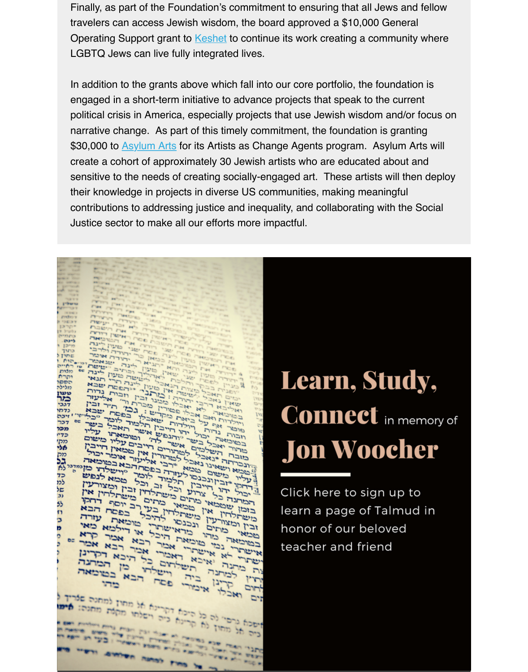engaged in a short-term initiative to advance projects that speak to the current political crisis in America, especially projects that use Jewish wisdom and/or focus o narrative change. As part [of this tim](https://www.keshetonline.org/)ely commitment, the foundation is granting \$30,000 to Asylum Arts for its Artists as Change Agents program. Asylum Arts will create a cohort of approximately 30 Jewish artists who are educated about and sensitive to the needs of creating socially-engaged art. These artists will then deplo their knowledge in projects in diverse US communities, making meaningful contributions to addressing justice and inequality, and collaborating with the Social Justice sector to make all our efforts more impactful.

#### $F$  last  $TTT$ Them בורעי יוני סעון ליבר.<br>כרועי את המוכנית כתפי ליכת  $\begin{array}{l} \mathbf{1}_{\mathbf{1}}^{(n)}\otimes\mathbf{1}_{\mathbf{2}}^{(n)}\otimes\mathbf{1}_{\mathbf{3}}^{(n)}\otimes\mathbf{1}_{\mathbf{4}}^{(n)}\otimes\mathbf{1}_{\mathbf{5}}^{(n)}\otimes\mathbf{1}_{\mathbf{6}}^{(n)}\otimes\mathbf{1}_{\mathbf{7}}^{(n)}\otimes\mathbf{1}_{\mathbf{8}}^{(n)}\otimes\mathbf{1}_{\mathbf{9}}^{(n)}\otimes\mathbf{1}_{\mathbf{1}}^{(n)}\otimes\mathbf{1}_{\mathbf{1}}^{(n)}\otimes\mathbf{$  $12113$  $\begin{array}{l} \mathcal{L}_{\mathcal{A}}=\mathcal{L}_{\mathcal{A}}=\mathcal{L}_{\mathcal{A}}=\mathcal{L}_{\mathcal{A}}=\mathcal{L}_{\mathcal{A}}=\mathcal{L}_{\mathcal{A}}=\mathcal{L}_{\mathcal{A}}=\mathcal{L}_{\mathcal{A}}=\mathcal{L}_{\mathcal{A}}=\mathcal{L}_{\mathcal{A}}=\mathcal{L}_{\mathcal{A}}=\mathcal{L}_{\mathcal{A}}=\mathcal{L}_{\mathcal{A}}=\mathcal{L}_{\mathcal{A}}=\mathcal{L}_{\mathcal{A}}=\mathcal{L}_{\mathcal{A}}=\mathcal{L}_{\mathcal{A}}=\mathcal{L}_{\mathcal$ הנכון השאינו במאי הקבוצות המתיום בין החבור המורד בין המורד החבור המורד המורד המורד החבור המורד החבור המורד החב<br>המורד המורד המורד המורד המורד המורד המצורתי<br>המורד המורד המורד הכל זב ובין ומצורתי<br>המורד המורד בין הכל המורד המ המשליש המשליש לעולד למוד המשליש המשליש המשליש המשליש המשליש המשליש המשליש המשליש המשליש המשליש המשליש המשליש ה<br>המשליש המשליש המשליש המשליש המשליש המשליש המשליש המשליש המשליש המשליש המשליש המשליש המשליש המשליש המשליש המשלי 55 בוכון אין משתלתין בעין בפסח הבא m משתרחית או מוכנסי אבורי אבור רבא אמרינן<br>מכולי המה מה המה אבורי האבור האבור<br>מכולי המה מה מוכנסי אבור הילכוא מאי<br>מכולי המה מה מה מה אבורי אבור הבא אבור<br>משתרחית הילכולי להיכל Ь ובין וביצרום הראישתתם בל היבא אמרינן וביותר הראישה בין הקדונן ובין הקדונן ובין הקדונן ובין המחברו היה או המחבר<br>משתתיי בין שוכואר, אבור רבא אבור קרא<br>משתתיי נכון שוכואר, אבור רבא אבור<br>מכון ובין כוחים הראישתת Þ ספאיר במתנה תושלתים בין במוסאה בין המתנה ומוסיקה בין המתנה ומוסיקה בין המתנה ומוסיקה בין המתנה ומוסיקה בין המת<br>אישים המשליחה האיני את האיכור אבר היבא אמר של<br>ממוסאה נכון המשליחה אבר בא אמר שלא לכותרו בית השלחי הבא בסוכואה<br>הנה, איכא השלחים כל היכא הקרינו<br>היא איכא האכור אלי היכא הקרינו של היה מיכורי פסח הבא בחי המונים או<br>כלכתונה בית השלחים כל המחבר<br>כלכתונה בית השלחים כל המחבר<br>היא אישי האכורי אביריא הקרינו  $rrr$ אחום אתם האבלו איכוו כים חל מהסוך לא קריינה בישראל מחוץ למחנים: מיים

# **Learn, Study, Connect** in memory **Jon Woocher**

Click here to sign up to learn a page of Talmud in honor of our beloved teacher and friend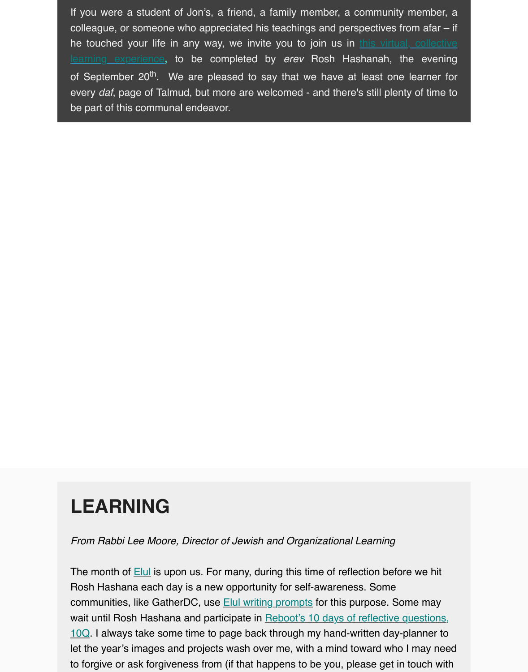every *daf*, page of Talmud, but more are welcomed - and there's still plenty of time to be part of this communal endeavor.

## **LEARNING**

*From Rabbi Lee Moore, Director of Jewish and Organizational Learning*

The month of **Elul** is upon us. For many, during this time of reflection before we hit Rosh Hashana each day is a new opportunity for self-awareness. Some communities, like GatherDC, use **Elul writing prompts** for this purpose. Some may wait until Rosh Hashana and participate in **Reboot's 10 days of reflective questions**, 10Q. I always take some time to page back through my hand-written day-planner to let the year's images and projects wash over me, with a mind toward who I may need to forgive or a[sk fo](http://www.jewelsofelul.com/)rgiveness from (if that happens to be you, please get in touch wit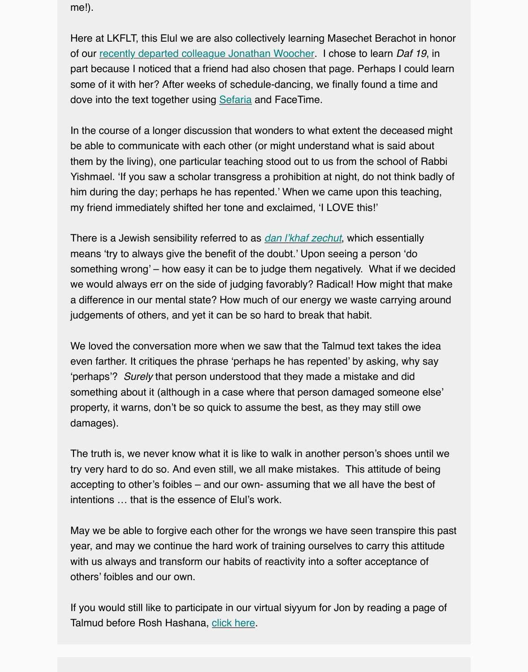dove into the text together using Sefaria and FaceTime.

In the course of a longer discussion that wonders to what extent the deceased might be abl[e to communicate with each other \(or might und](https://lkflt.wordpress.com/2017/07/11/eulogy-for-jon-woocher-a-remembrance-from-joe-kanfer/)erstand what is said about them by the living), one particular teaching stood out to us from the school of Rabbi Yishmael. 'If you saw a scholar transgress a prohibition at night, do not think badly of him during the day; perhaps he [has repe](https://www.sefaria.org/Berakhot.18b-19a?lang=bi)nted.' When we came upon this teaching, my friend immediately shifted her tone and exclaimed, 'I LOVE this!'

There is a Jewish sensibility referred to as *dan l'khaf zechut*, which essentially means 'try to always give the benefit of the doubt.' Upon seeing a person 'do something wrong' – how easy it can be to judge them negatively. What if we decide we would always err on the side of judging favorably? Radical! How might that make a difference in our mental state? How much of our energy we waste carrying around judgements of others, and yet it can be so hard to break that habit.

We loved the conversation more when we saw that the Talmud text takes the idea even farther. It critiques the phrase 'perhaps he has repented' by asking, why say 'perhaps'? *Surely* that person understood that they made a mistake and did something about it (although in a case where that person damaged someone else' property, it warns, don't be so quick to assume the best, as they may still owe damages).

The truth is, we never know what it is like to walk in another person's shoes until we try very hard to do so. And even still, we all make mistakes. This attitude of being accepting to other's foibles – and our own- assuming that we all have the best of intentions … that is the essence of Elul's work.

May we be able to forgive each other for the wrongs we have seen transpire this pa year, and may we continue the hard work of training ourselves to carry this attitude with us always and transform our habits of reactivity into a softer acceptance of others' foibles and our own.

If you would still like to participate in our virtual siyyum for Jon by reading a page of Talmud before Rosh Hashana, click here.